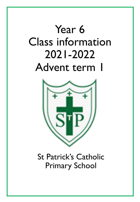# Year 6 Class information 2021-2022 Advent term 1



St Patrick's Catholic Primary School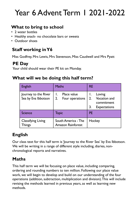# Year 6 Advent Term 1 2021-2022

### **What to bring to school**

- 2 water bottles
- Healthy snack- no chocolate bars or sweets
- Outdoor shoes

### **Staff working in Y6**

Miss Godfrey, Mrs Lewis, Mrs Stevenson, Miss Caudwell and Mrs Pyatt

#### **PE Day**

Your child should wear their PE kit on Monday.

#### **What will we be doing this half term?**

| <b>English</b>                              | <b>Maths</b>                                           | <b>RE</b>                                                                      |  |  |  |
|---------------------------------------------|--------------------------------------------------------|--------------------------------------------------------------------------------|--|--|--|
| Journey to the River<br>Sea by Eva Ibbotson | Place value<br>$\mathbf{I}$ .<br>2.<br>Four operations | Loving<br><b>Vocation and</b><br>2.<br>commitment<br>3.<br><b>Expectations</b> |  |  |  |
| <b>Science</b>                              | Topic                                                  | <b>PE</b>                                                                      |  |  |  |
| <b>Classifying Living</b><br>Things         | South America - The<br><b>Amazon Rainforest</b>        | Hockey                                                                         |  |  |  |

## **English**

Our class text for this half term is 'Journey to the River Sea' by Eva Ibbotson. We will be writing in a range of different style including, diaries, nonchronological reports and narratives.

### **Maths**

This half term we will be focusing on place value, including comparing, ordering and rounding numbers to ten million. Following our place value work, we will begin to develop and build on our understanding of the four operations (addition, subtraction, multiplication and division). This will include revising the methods learned in previous years, as well as learning new methods.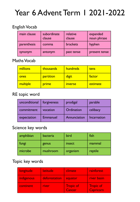# Year 6 Advent Term 1 2021-2022

#### English Vocab

| main clause | subordinate<br>clause | relative<br>clause | expanded<br>noun phrase |
|-------------|-----------------------|--------------------|-------------------------|
| parenthesis | comma                 | brackets           | hyphen                  |
| synonym     | antonym               | past tense         | present tense           |

#### Maths Vocab

| millions | thousands | hundreds       | tens     |
|----------|-----------|----------------|----------|
| ones     | partition | digit          | factor   |
| multiple | prime     | <b>Inverse</b> | estimate |

#### RE topic word

| unconditional | forgiveness | prodigal     | parable     |
|---------------|-------------|--------------|-------------|
| commitment    | vocation    | Ordination   | celibacy    |
| expectation   | Emmanuel    | Annunciation | Incarnation |

#### Science key words

| amphibian | bacteria | bird     | fish    |  |  |
|-----------|----------|----------|---------|--|--|
| fungi     | genus    | insect   | mammal  |  |  |
| microbe   | mushroom | organism | reptile |  |  |

#### Topic key words

| longitude <sup>l</sup> | <b>latitude</b> | climate                    | rainforest                           |
|------------------------|-----------------|----------------------------|--------------------------------------|
| indigenous             | deforestation   | equator                    | river basin                          |
| continent              | river           | <b>Tropic of</b><br>Cancer | <b>Tropic of</b><br><b>Capricorn</b> |